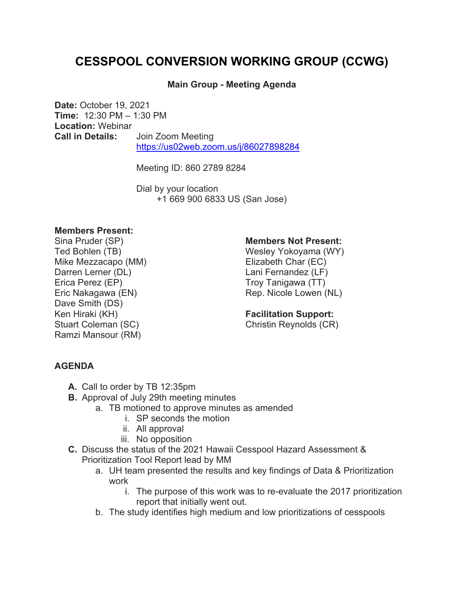# **CESSPOOL CONVERSION WORKING GROUP (CCWG)**

## **Main Group - Meeting Agenda**

**Date:** October 19, 2021 **Time:** 12:30 PM – 1:30 PM **Location:** Webinar **Call in Details:** Join Zoom Meeting https://us02web.zoom.us/j/86027898284

Meeting ID: 860 2789 8284

Dial by your location +1 669 900 6833 US (San Jose)

#### **Members Present:**

Sina Pruder (SP) Ted Bohlen (TB) Mike Mezzacapo (MM) Darren Lerner (DL) Erica Perez (EP) Eric Nakagawa (EN) Dave Smith (DS) Ken Hiraki (KH) Stuart Coleman (SC) Ramzi Mansour (RM)

### **Members Not Present:**

Wesley Yokoyama (WY) Elizabeth Char (EC) Lani Fernandez (LF) Troy Tanigawa (TT) Rep. Nicole Lowen (NL)

## **Facilitation Support:**

Christin Reynolds (CR)

## **AGENDA**

- **A.** Call to order by TB 12:35pm
- **B.** Approval of July 29th meeting minutes
	- a. TB motioned to approve minutes as amended
		- i. SP seconds the motion
		- ii. All approval
		- iii. No opposition
- **C.** Discuss the status of the 2021 Hawaii Cesspool Hazard Assessment & Prioritization Tool Report lead by MM
	- a. UH team presented the results and key findings of Data & Prioritization work
		- i. The purpose of this work was to re-evaluate the 2017 prioritization report that initially went out.
	- b. The study identifies high medium and low prioritizations of cesspools